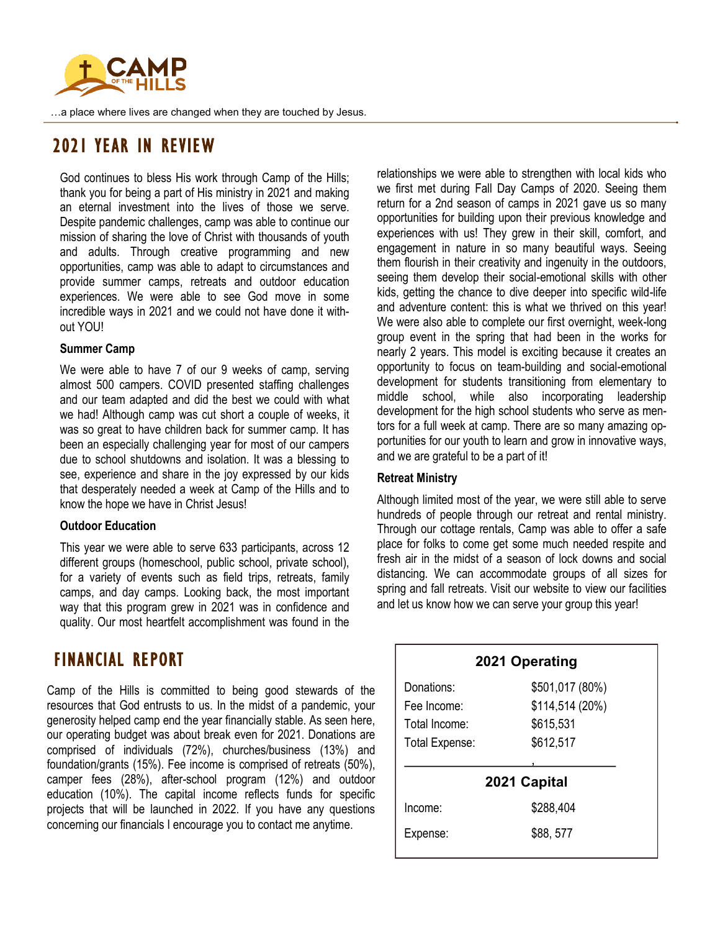

…a place where lives are changed when they are touched by Jesus.

## 2021 YEAR IN REVIEW

God continues to bless His work through Camp of the Hills; thank you for being a part of His ministry in 2021 and making an eternal investment into the lives of those we serve. Despite pandemic challenges, camp was able to continue our mission of sharing the love of Christ with thousands of youth and adults. Through creative programming and new opportunities, camp was able to adapt to circumstances and provide summer camps, retreats and outdoor education experiences. We were able to see God move in some incredible ways in 2021 and we could not have done it without YOU!

#### **Summer Camp**

We were able to have 7 of our 9 weeks of camp, serving almost 500 campers. COVID presented staffing challenges and our team adapted and did the best we could with what we had! Although camp was cut short a couple of weeks, it was so great to have children back for summer camp. It has been an especially challenging year for most of our campers due to school shutdowns and isolation. It was a blessing to see, experience and share in the joy expressed by our kids that desperately needed a week at Camp of the Hills and to know the hope we have in Christ Jesus!

## **Outdoor Education**

This year we were able to serve 633 participants, across 12 different groups (homeschool, public school, private school), for a variety of events such as field trips, retreats, family camps, and day camps. Looking back, the most important way that this program grew in 2021 was in confidence and quality. Our most heartfelt accomplishment was found in the

## FINANCIAL REPORT

Camp of the Hills is committed to being good stewards of the resources that God entrusts to us. In the midst of a pandemic, your generosity helped camp end the year financially stable. As seen here, our operating budget was about break even for 2021. Donations are comprised of individuals (72%), churches/business (13%) and foundation/grants (15%). Fee income is comprised of retreats (50%), camper fees (28%), after-school program (12%) and outdoor education (10%). The capital income reflects funds for specific projects that will be launched in 2022. If you have any questions concerning our financials I encourage you to contact me anytime.

relationships we were able to strengthen with local kids who we first met during Fall Day Camps of 2020. Seeing them return for a 2nd season of camps in 2021 gave us so many opportunities for building upon their previous knowledge and experiences with us! They grew in their skill, comfort, and engagement in nature in so many beautiful ways. Seeing them flourish in their creativity and ingenuity in the outdoors, seeing them develop their social-emotional skills with other kids, getting the chance to dive deeper into specific wild-life and adventure content: this is what we thrived on this year! We were also able to complete our first overnight, week-long group event in the spring that had been in the works for nearly 2 years. This model is exciting because it creates an opportunity to focus on team-building and social-emotional development for students transitioning from elementary to middle school, while also incorporating leadership development for the high school students who serve as mentors for a full week at camp. There are so many amazing opportunities for our youth to learn and grow in innovative ways, and we are grateful to be a part of it!

## **Retreat Ministry**

Although limited most of the year, we were still able to serve hundreds of people through our retreat and rental ministry. Through our cottage rentals, Camp was able to offer a safe place for folks to come get some much needed respite and fresh air in the midst of a season of lock downs and social distancing. We can accommodate groups of all sizes for spring and fall retreats. Visit our website to view our facilities and let us know how we can serve your group this year!

|                | 2021 Operating  |
|----------------|-----------------|
| Donations:     | \$501,017 (80%) |
| Fee Income:    | \$114,514 (20%) |
| Total Income:  | \$615,531       |
| Total Expense: | \$612,517       |
|                |                 |
| 2021 Capital   |                 |
| Income:        | \$288,404       |
| Expense:       | \$88,577        |
|                |                 |